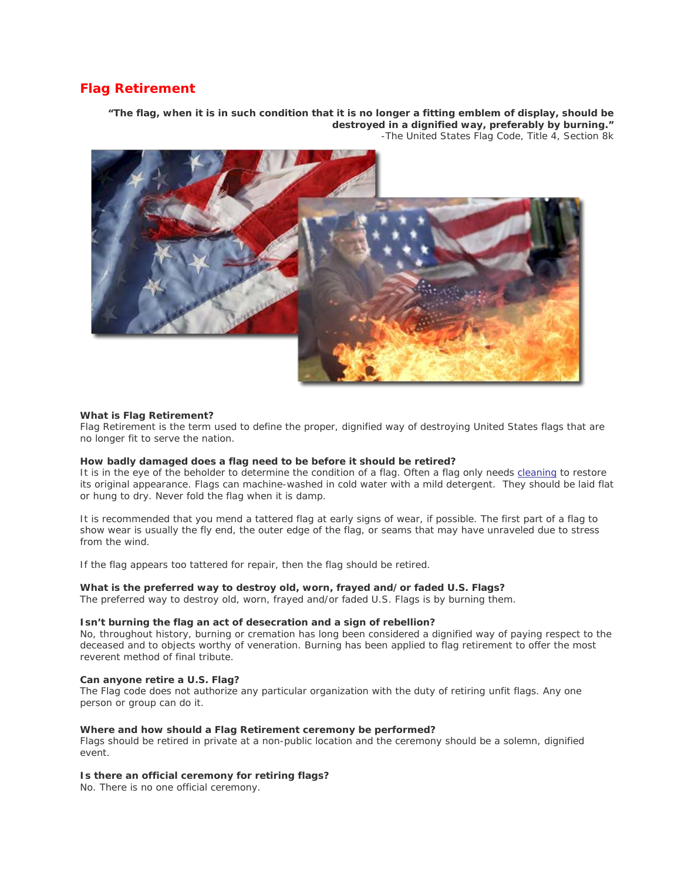# **Flag Retirement**

*"The flag, when it is in such condition that it is no longer a fitting emblem of display, should be destroyed in a dignified way, preferably by burning."* -The United States Flag Code, Title 4, Section 8k



# *What is Flag Retirement?*

Flag Retirement is the term used to define the proper, dignified way of destroying United States flags that are no longer fit to serve the nation.

#### *How badly damaged does a flag need to be before it should be retired?*

It is in the eye of the beholder to determine the condition of a flag. Often a flag only needs [cleaning](http://annin/resources_caring_for_flag.asp) to restore its original appearance. Flags can machine-washed in cold water with a mild detergent. They should be laid flat or hung to dry. Never fold the flag when it is damp.

It is recommended that you mend a tattered flag at early signs of wear, if possible. The first part of a flag to show wear is usually the fly end, the outer edge of the flag, or seams that may have unraveled due to stress from the wind.

If the flag appears too tattered for repair, then the flag should be retired.

# *What is the preferred way to destroy old, worn, frayed and/or faded U.S. Flags?*

The preferred way to destroy old, worn, frayed and/or faded U.S. Flags is by burning them.

#### *Isn't burning the flag an act of desecration and a sign of rebellion?*

No, throughout history, burning or cremation has long been considered a dignified way of paying respect to the deceased and to objects worthy of veneration. Burning has been applied to flag retirement to offer the most reverent method of final tribute.

# *Can anyone retire a U.S. Flag?*

The Flag code does not authorize any particular organization with the duty of retiring unfit flags. Any one person or group can do it.

### **Where and how should a Flag Retirement ceremony be performed?**

Flags should be retired in private at a non-public location and the ceremony should be a solemn, dignified event.

#### *Is there an official ceremony for retiring flags?*

No. There is no one official ceremony.